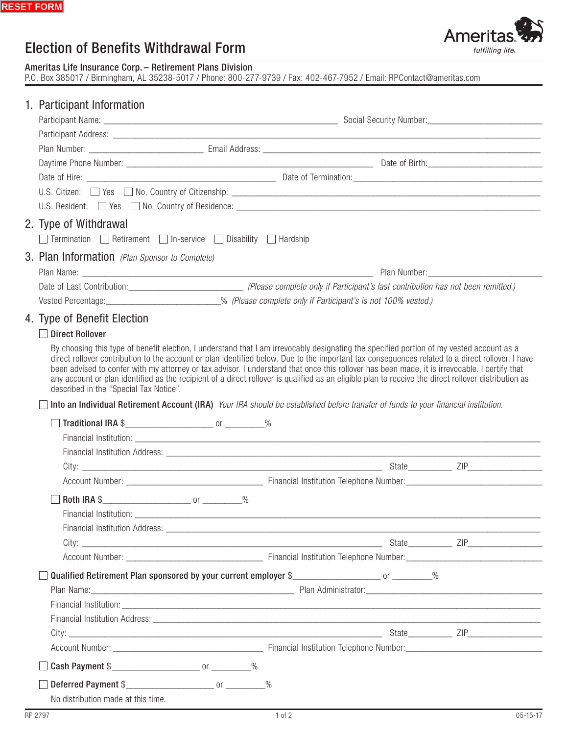# **Election of Benefits Withdrawal Form**

Ameritas Life Insurance Corp. - Retirement Plans Division<br>P.O. Box 385017 / Birmingham, AL 35238-5017 / Phone: 800-277-9739 / Fax: 402-467-7952 / Email: RPContact@ameritas.com

# 1. Participant Information

|  | U.S. Resident: Nes No, Country of Residence: New York Country of Residence: New York Country of Residence:                                                                                                                          |                                                                                                                                                                                                                                                                                                                                                                                                                                                                                                                                                                                                        |  |  |                                             |  |  |
|--|-------------------------------------------------------------------------------------------------------------------------------------------------------------------------------------------------------------------------------------|--------------------------------------------------------------------------------------------------------------------------------------------------------------------------------------------------------------------------------------------------------------------------------------------------------------------------------------------------------------------------------------------------------------------------------------------------------------------------------------------------------------------------------------------------------------------------------------------------------|--|--|---------------------------------------------|--|--|
|  | 2. Type of Withdrawal                                                                                                                                                                                                               |                                                                                                                                                                                                                                                                                                                                                                                                                                                                                                                                                                                                        |  |  |                                             |  |  |
|  | $Termination$ Retirement $\Box$ In-service $\Box$ Disability $\Box$ Hardship                                                                                                                                                        |                                                                                                                                                                                                                                                                                                                                                                                                                                                                                                                                                                                                        |  |  |                                             |  |  |
|  | 3. Plan Information (Plan Sponsor to Complete)                                                                                                                                                                                      |                                                                                                                                                                                                                                                                                                                                                                                                                                                                                                                                                                                                        |  |  |                                             |  |  |
|  |                                                                                                                                                                                                                                     |                                                                                                                                                                                                                                                                                                                                                                                                                                                                                                                                                                                                        |  |  | Plan Number: National Assembly Plan Number: |  |  |
|  |                                                                                                                                                                                                                                     |                                                                                                                                                                                                                                                                                                                                                                                                                                                                                                                                                                                                        |  |  |                                             |  |  |
|  |                                                                                                                                                                                                                                     | Vested Percentage: ______________________________% (Please complete only if Participant's is not 100% vested.)                                                                                                                                                                                                                                                                                                                                                                                                                                                                                         |  |  |                                             |  |  |
|  | 4. Type of Benefit Election                                                                                                                                                                                                         |                                                                                                                                                                                                                                                                                                                                                                                                                                                                                                                                                                                                        |  |  |                                             |  |  |
|  | <b>Direct Rollover</b>                                                                                                                                                                                                              |                                                                                                                                                                                                                                                                                                                                                                                                                                                                                                                                                                                                        |  |  |                                             |  |  |
|  |                                                                                                                                                                                                                                     | By choosing this type of benefit election, I understand that I am irrevocably designating the specified portion of my vested account as a<br>direct rollover contribution to the account or plan identified below. Due to the important tax consequences related to a direct rollover, I have<br>been advised to confer with my attorney or tax advisor. I understand that once this rollover has been made, it is irrevocable. I certify that<br>any account or plan identified as the recipient of a direct rollover is qualified as an eligible plan to receive the direct rollover distribution as |  |  |                                             |  |  |
|  | described in the "Special Tax Notice".                                                                                                                                                                                              |                                                                                                                                                                                                                                                                                                                                                                                                                                                                                                                                                                                                        |  |  |                                             |  |  |
|  | Into an Individual Retirement Account (IRA) Your IRA should be established before transfer of funds to your financial institution.                                                                                                  |                                                                                                                                                                                                                                                                                                                                                                                                                                                                                                                                                                                                        |  |  |                                             |  |  |
|  |                                                                                                                                                                                                                                     |                                                                                                                                                                                                                                                                                                                                                                                                                                                                                                                                                                                                        |  |  |                                             |  |  |
|  |                                                                                                                                                                                                                                     |                                                                                                                                                                                                                                                                                                                                                                                                                                                                                                                                                                                                        |  |  |                                             |  |  |
|  | Financial Institution Address: Latin March 2014 and 2016 and 2017 and 2018 and 2019 and 2019 and 2019 and 2019                                                                                                                      |                                                                                                                                                                                                                                                                                                                                                                                                                                                                                                                                                                                                        |  |  |                                             |  |  |
|  |                                                                                                                                                                                                                                     |                                                                                                                                                                                                                                                                                                                                                                                                                                                                                                                                                                                                        |  |  |                                             |  |  |
|  |                                                                                                                                                                                                                                     |                                                                                                                                                                                                                                                                                                                                                                                                                                                                                                                                                                                                        |  |  |                                             |  |  |
|  |                                                                                                                                                                                                                                     |                                                                                                                                                                                                                                                                                                                                                                                                                                                                                                                                                                                                        |  |  |                                             |  |  |
|  |                                                                                                                                                                                                                                     |                                                                                                                                                                                                                                                                                                                                                                                                                                                                                                                                                                                                        |  |  |                                             |  |  |
|  |                                                                                                                                                                                                                                     |                                                                                                                                                                                                                                                                                                                                                                                                                                                                                                                                                                                                        |  |  |                                             |  |  |
|  |                                                                                                                                                                                                                                     |                                                                                                                                                                                                                                                                                                                                                                                                                                                                                                                                                                                                        |  |  |                                             |  |  |
|  |                                                                                                                                                                                                                                     |                                                                                                                                                                                                                                                                                                                                                                                                                                                                                                                                                                                                        |  |  |                                             |  |  |
|  | Qualified Retirement Plan sponsored by your current employer \$______________________________%                                                                                                                                      |                                                                                                                                                                                                                                                                                                                                                                                                                                                                                                                                                                                                        |  |  |                                             |  |  |
|  | Plan Name: <u>Contract Communication</u> Plan Administrator: Communication Communication Communication Communication Communication Communication Communication Communication Communication Communication Communication Communicatio |                                                                                                                                                                                                                                                                                                                                                                                                                                                                                                                                                                                                        |  |  |                                             |  |  |
|  |                                                                                                                                                                                                                                     |                                                                                                                                                                                                                                                                                                                                                                                                                                                                                                                                                                                                        |  |  |                                             |  |  |
|  |                                                                                                                                                                                                                                     |                                                                                                                                                                                                                                                                                                                                                                                                                                                                                                                                                                                                        |  |  |                                             |  |  |
|  |                                                                                                                                                                                                                                     |                                                                                                                                                                                                                                                                                                                                                                                                                                                                                                                                                                                                        |  |  |                                             |  |  |
|  |                                                                                                                                                                                                                                     |                                                                                                                                                                                                                                                                                                                                                                                                                                                                                                                                                                                                        |  |  |                                             |  |  |
|  | Cash Payment \$                                                                                                                                                                                                                     |                                                                                                                                                                                                                                                                                                                                                                                                                                                                                                                                                                                                        |  |  |                                             |  |  |
|  | Deferred Payment \$                                                                                                                                                                                                                 |                                                                                                                                                                                                                                                                                                                                                                                                                                                                                                                                                                                                        |  |  |                                             |  |  |
|  | No distribution made at this time.                                                                                                                                                                                                  |                                                                                                                                                                                                                                                                                                                                                                                                                                                                                                                                                                                                        |  |  |                                             |  |  |

Ameritas

fulfilling life.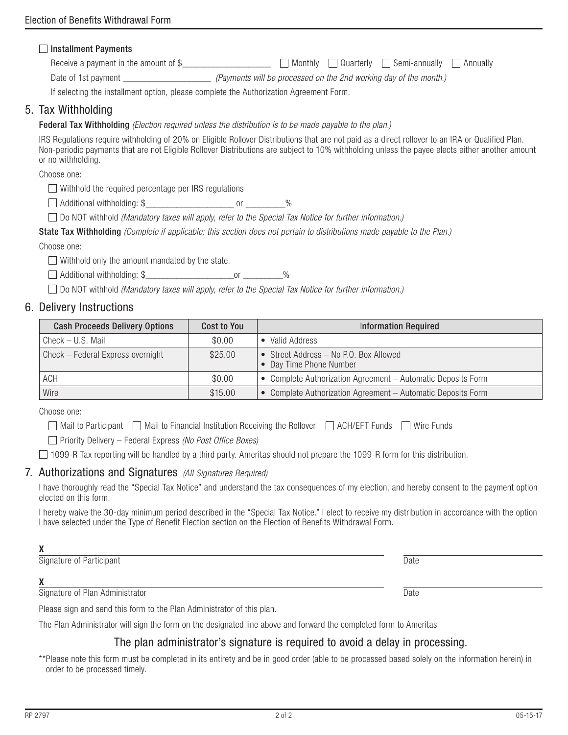## **Installment Payments**

Receive a payment in the amount of  $\$\quad\quad\quad\quad\quad\quad\quad\quad$  Monthly  $\quad\quad$  Quarterly  $\quad\quad$  Semi-annually  $\quad\quad$  Annually

Date of 1st payment **the summer of the month.**) *(Payments will be processed on the 2nd working day of the month.*)

If selecting the installment option, please complete the Authorization Agreement Form.

# 5. Tax Withholding

Federal Tax Withholding *(Election required unless the distribution is to be made payable to the plan.)*

IRS Regulations require withholding of 20% on Eligible Rollover Distributions that are not paid as a direct rollover to an IRA or Qualified Plan. Non-periodic payments that are not Eligible Rollover Distributions are subject to 10% withholding unless the payee elects either another amount or no withholding.

Choose one:

Withhold the required percentage per IRS regulations

 $\Box$  Additional withholding: \$  $\Box$ 

Do NOT withhold *(Mandatory taxes will apply, refer to the Special Tax Notice for further information.)*

State Tax Withholding *(Complete if applicable; this section does not pertain to distributions made payable to the Plan.)*

Choose one:

 $\Box$  Withhold only the amount mandated by the state.

Additional withholding: \$\_\_\_\_\_\_\_\_\_\_\_\_\_\_\_\_\_\_\_\_or \_\_\_\_\_\_\_\_\_%

Do NOT withhold *(Mandatory taxes will apply, refer to the Special Tax Notice for further information.)*

# 6. Delivery Instructions

| <b>Cash Proceeds Delivery Options</b> | Cost to You | <b>Information Required</b>                                       |
|---------------------------------------|-------------|-------------------------------------------------------------------|
| Check - U.S. Mail                     | \$0.00      | Valid Address                                                     |
| Check - Federal Express overnight     | \$25.00     | • Street Address – No P.O. Box Allowed<br>• Day Time Phone Number |
| ACH                                   | \$0.00      | • Complete Authorization Agreement - Automatic Deposits Form      |
| Wire                                  | \$15.00     | • Complete Authorization Agreement - Automatic Deposits Form      |

Choose one:

 $\Box$  Mail to Participant  $\Box$  Mail to Financial Institution Receiving the Rollover  $\Box$  ACH/EFT Funds  $\Box$  Wire Funds

Priority Delivery – Federal Express *(No Post Office Boxes)*

 $\Box$  1099-R Tax reporting will be handled by a third party. Ameritas should not prepare the 1099-R form for this distribution.

### 7. Authorizations and Signatures *(All Signatures Required)*

I have thoroughly read the "Special Tax Notice" and understand the tax consequences of my election, and hereby consent to the payment option elected on this form.

I hereby waive the 30-day minimum period described in the "Special Tax Notice." I elect to receive my distribution in accordance with the option I have selected under the Type of Benefit Election section on the Election of Benefits Withdrawal Form.

Signature of Participant Date of Participant Date of Participant Date of Participant Date of Participant Date of Participant Date of Participant Date of Participant Date of Participant Date of Participant Date of Participa

# X

Signature of Plan Administrator Date Date Control of Plan Administrator Date

Please sign and send this form to the Plan Administrator of this plan.

The Plan Administrator will sign the form on the designated line above and forward the completed form to Ameritas

## The plan administrator's signature is required to avoid a delay in processing.

\*\*Please note this form must be completed in its entirety and be in good order (able to be processed based solely on the information herein) in order to be processed timely.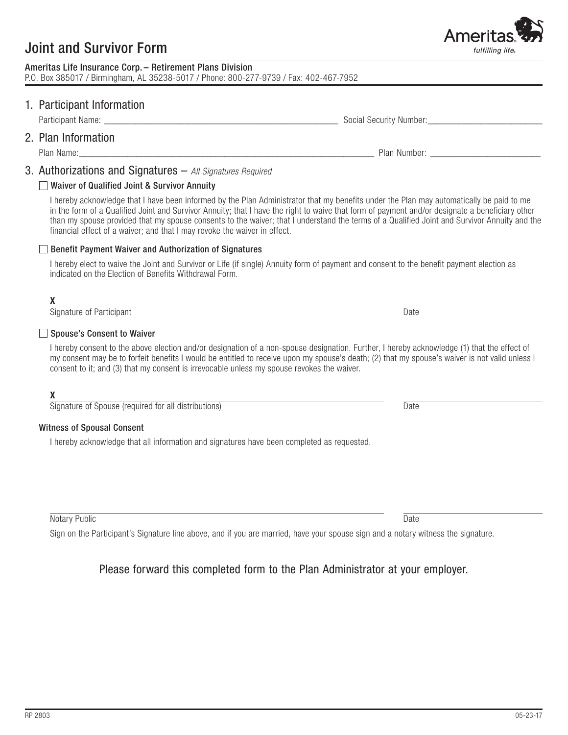# **Joint and Survivor Form**

| Ameritas Life Insurance Corp. - Retirement Plans Division                             |  |
|---------------------------------------------------------------------------------------|--|
| P.O. Box 385017 / Birmingham, AL 35238-5017 / Phone: 800-277-9739 / Fax: 402-467-7952 |  |

# 1. Participant Information

2. Plan Information

Plan Name:

# 3. Authorizations and Signatures - All Signatures Required

## □ Waiver of Qualified Joint & Survivor Annuity

I hereby acknowledge that I have been informed by the Plan Administrator that my benefits under the Plan may automatically be paid to me in the form of a Qualified Joint and Survivor Annuity; that I have the right to waive that form of payment and/or designate a beneficiary other than my spouse provided that my spouse consents to the waiver; that I understand the terms of a Qualified Joint and Survivor Annuity and the financial effect of a waiver; and that I may revoke the waiver in effect.

### Benefit Payment Waiver and Authorization of Signatures

I hereby elect to waive the Joint and Survivor or Life (if single) Annuity form of payment and consent to the benefit payment election as indicated on the Election of Benefits Withdrawal Form.

### X

Signature of Participant

### □ Spouse's Consent to Waiver

I hereby consent to the above election and/or designation of a non-spouse designation. Further, I hereby acknowledge (1) that the effect of my consent may be to forfeit benefits I would be entitled to receive upon my spouse's death; (2) that my spouse's waiver is not valid unless I consent to it; and (3) that my consent is irrevocable unless my spouse revokes the waiver.

## X

Signature of Spouse (required for all distributions)

### **Witness of Spousal Consent**

I hereby acknowledge that all information and signatures have been completed as requested.

Notary Public

Sign on the Participant's Signature line above, and if you are married, have your spouse sign and a notary witness the signature.

# Please forward this completed form to the Plan Administrator at your employer.

**Date** 

Date

**Date** 



Plan Number: